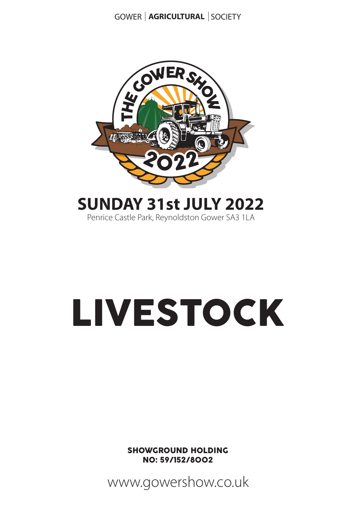

### **SUNDAY 31st JULY 2022**

Penrice Castle Park, Reynoldston Gower SA3 1LA

# LIVESTOCK

SHOWGROUND HOLDING NO: 59/152/8002

www.gowershow.co.uk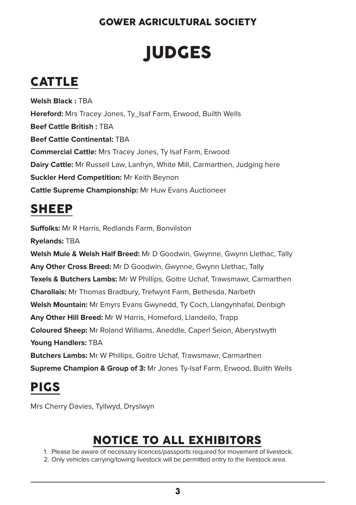# **IUDGES**

### CATTLE

**Welsh Black :** TBA **Hereford:** Mrs Tracey Jones, Ty Isaf Farm, Erwood, Builth Wells **Beef Cattle British :** TBA **Beef Cattle Continental:** TBA **Commercial Cattle:** Mrs Tracey Jones, Ty Isaf Farm, Erwood **Dairy Cattle:** Mr Russell Law, Lanfryn, White Mill, Carmarthen, Judging here **Suckler Herd Competition:** Mr Keith Beynon **Cattle Supreme Championship:** Mr Huw Evans Auctioneer

### SHEEP

**Suffolks:** Mr R Harris, Redlands Farm, Bonvilston

**Ryelands:** TBA

**Welsh Mule & Welsh Half Breed:** Mr D Goodwin, Gwynne, Gwynn Llethac, Tally **Any Other Cross Breed:** Mr D Goodwin, Gwynne, Gwynn Llethac, Tally **Texels & Butchers Lambs:** Mr W Phillips, Goitre Uchaf, Trawsmawr, Carmarthen **Charollais:** Mr Thomas Bradbury, Trefwynt Farm, Bethesda, Narbeth **Welsh Mountain:** Mr Emyrs Evans Gwynedd, Ty Coch, Llangynhafal, Denbigh **Any Other Hill Breed:** Mr W Harris, Homeford, Llandeilo, Trapp **Coloured Sheep:** Mr Roland Williams, Aneddle, Caperl Seion, Aberystwyth **Young Handlers:** TBA **Butchers Lambs:** Mr W Phillips, Goitre Uchaf, Trawsmawr, Carmarthen **Supreme Champion & Group of 3:** Mr Jones Ty-Isaf Farm, Erwood, Builth Wells

### PIGS

Mrs Cherry Davies, Tyllwyd, Dryslwyn

### NOTICE TO ALL EXHIBITORS

1. Please be aware of necessary licences/passports required for movement of livestock.

2. Only vehicles carrying/towing livestock will be permitted entry to the livestock area.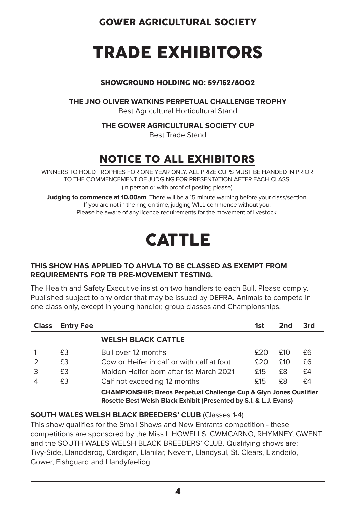# TRADE EXHIBITORS

#### SHOWGROUND HOLDING NO: 59/152/8002

**THE JNO OLIVER WATKINS PERPETUAL CHALLENGE TROPHY**

Best Agricultural Horticultural Stand

**THE GOWER AGRICULTURAL SOCIETY CUP** 

Best Trade Stand

### NOTICE TO ALL EXHIBITORS

WINNERS TO HOLD TROPHIES FOR ONE YEAR ONLY. ALL PRIZE CUPS MUST BE HANDED IN PRIOR TO THE COMMENCEMENT OF JUDGING FOR PRESENTATION AFTER EACH CLASS. (In person or with proof of posting please)

**Judging to commence at 10.00am**. There will be a 15 minute warning before your class/section. If you are not in the ring on time, judging WILL commence without you. Please be aware of any licence requirements for the movement of livestock.

## **CATTLE**

#### **THIS SHOW HAS APPLIED TO AHVLA TO BE CLASSED AS EXEMPT FROM REQUIREMENTS FOR TB PRE-MOVEMENT TESTING.**

The Health and Safety Executive insist on two handlers to each Bull. Please comply. Published subject to any order that may be issued by DEFRA. Animals to compete in one class only, except in young handler, group classes and Championships.

| <b>Class</b>  | <b>Entry Fee</b> |                                                                                                                                                    | 1st | 2nd  | 3rd |
|---------------|------------------|----------------------------------------------------------------------------------------------------------------------------------------------------|-----|------|-----|
|               |                  | <b>WELSH BLACK CATTLE</b>                                                                                                                          |     |      |     |
|               | £З               | Bull over 12 months                                                                                                                                | £20 | £10  | £6  |
| $\mathcal{P}$ | £З               | Cow or Heifer in calf or with calf at foot                                                                                                         | £20 | \$10 | £6  |
| 3             | £З               | Maiden Heifer born after 1st March 2021                                                                                                            | £15 | £8   | £4  |
| 4             | £З               | Calf not exceeding 12 months                                                                                                                       | £15 | £8   | £4  |
|               |                  | <b>CHAMPIONSHIP: Breos Perpetual Challenge Cup &amp; Glyn Jones Qualifier</b><br>Rosette Best Welsh Black Exhibit (Presented by S.I. & L.J. Evans) |     |      |     |

**SOUTH WALES WELSH BLACK BREEDERS' CLUB** (Classes 1-4)

This show qualifies for the Small Shows and New Entrants competition - these competitions are sponsored by the Miss L HOWELLS, CWMCARNO, RHYMNEY, GWENT and the SOUTH WALES WELSH BLACK BREEDERS' CLUB. Qualifying shows are: Tivy-Side, Llanddarog, Cardigan, Llanilar, Nevern, Llandysul, St. Clears, Llandeilo, Gower, Fishguard and Llandyfaeliog.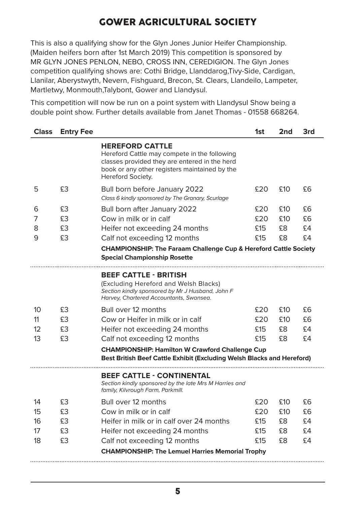This is also a qualifying show for the Glyn Jones Junior Heifer Championship. (Maiden heifers born after 1st March 2019) This competition is sponsored by MR GLYN JONES PENLON, NEBO, CROSS INN, CEREDIGION. The Glyn Jones competition qualifying shows are: Cothi Bridge, Llanddarog,Tivy-Side, Cardigan, Llanilar, Aberystwyth, Nevern, Fishguard, Brecon, St. Clears, Llandeilo, Lampeter, Martletwy, Monmouth,Talybont, Gower and Llandysul.

This competition will now be run on a point system with Llandysul Show being a double point show. Further details available from Janet Thomas - 01558 668264.

| <b>Class</b> | <b>Entry Fee</b> |                                                                                                                                                                                               | 1st  | 2nd  | 3rd |
|--------------|------------------|-----------------------------------------------------------------------------------------------------------------------------------------------------------------------------------------------|------|------|-----|
|              |                  | <b>HEREFORD CATTLE</b><br>Hereford Cattle may compete in the following<br>classes provided they are entered in the herd<br>book or any other registers maintained by the<br>Hereford Society. |      |      |     |
| 5            | £3               | Bull born before January 2022<br>Class 6 kindly sponsored by The Granary, Scurlage                                                                                                            | £20  | £10  | £6  |
| 6            | £З               | Bull born after January 2022                                                                                                                                                                  | £20  | £10  | £6  |
| 7            | £З               | Cow in milk or in calf                                                                                                                                                                        | £20. | £10  | £6  |
| 8            | £3               | Heifer not exceeding 24 months                                                                                                                                                                | £15  | £8   | £4  |
| 9            | £З               | Calf not exceeding 12 months                                                                                                                                                                  | £15  | £8   | £4  |
|              |                  | <b>CHAMPIONSHIP: The Faraam Challenge Cup &amp; Hereford Cattle Society</b><br><b>Special Championship Rosette</b>                                                                            |      |      |     |
|              |                  | <b>BEEF CATTLE - BRITISH</b><br>(Excluding Hereford and Welsh Blacks)<br>Section kindly sponsored by Mr J Husband, John F<br>Harvey, Chartered Accountants, Swansea.                          |      |      |     |
| 10           | £З               | Bull over 12 months                                                                                                                                                                           | £20  | £10  | £6  |
| 11           | £З               | Cow or Heifer in milk or in calf                                                                                                                                                              | 520  | £10. | £6  |
| 12           | £З               | Heifer not exceeding 24 months                                                                                                                                                                | £15  | £8   | £4  |
| 13           | £3               | Calf not exceeding 12 months                                                                                                                                                                  | £15  | £8   | £4  |
|              |                  | <b>CHAMPIONSHIP: Hamilton W Crawford Challenge Cup</b><br>Best British Beef Cattle Exhibit (Excluding Welsh Blacks and Hereford)                                                              |      |      |     |
|              |                  | <b>BEEF CATTLE - CONTINENTAL</b><br>Section kindly sponsored by the late Mrs M Harries and<br>family, Kilvrough Farm, Parkmill.                                                               |      |      |     |
| 14           | £З               | Bull over 12 months                                                                                                                                                                           | £20  | £10  | £6  |
| 15           | £3               | Cow in milk or in calf                                                                                                                                                                        | £20  | £10  | £6  |
| 16           | £З               | Heifer in milk or in calf over 24 months                                                                                                                                                      | £15  | £8   | £4  |
| 17           | £3               | Heifer not exceeding 24 months                                                                                                                                                                | £15  | £8   | £4  |
| 18           | £3               | Calf not exceeding 12 months                                                                                                                                                                  | £15  | £8   | £4  |
|              |                  | <b>CHAMPIONSHIP: The Lemuel Harries Memorial Trophy</b>                                                                                                                                       |      |      |     |
|              |                  |                                                                                                                                                                                               |      |      |     |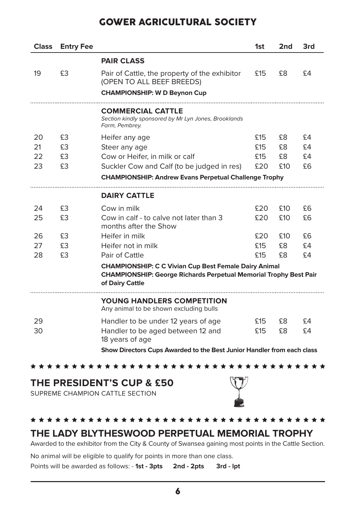| <b>Class</b> | <b>Entry Fee</b> |                                                                                                                                                             | 1st | 2nd | 3rd |
|--------------|------------------|-------------------------------------------------------------------------------------------------------------------------------------------------------------|-----|-----|-----|
|              |                  | <b>PAIR CLASS</b>                                                                                                                                           |     |     |     |
| 19           | £З               | Pair of Cattle, the property of the exhibitor<br>(OPEN TO ALL BEEF BREEDS)                                                                                  | £15 | £8  | £4  |
|              |                  | <b>CHAMPIONSHIP: W D Beynon Cup</b>                                                                                                                         |     |     |     |
|              |                  | <b>COMMERCIAL CATTLE</b><br>Section kindly sponsored by Mr Lyn Jones, Brooklands<br>Farm, Pembrey.                                                          |     |     |     |
| 20           | £З               | Heifer any age                                                                                                                                              | £15 | £8  | £4  |
| 21           | £З               | Steer any age                                                                                                                                               | £15 | £8  | £4  |
| 22           | £З               | Cow or Heifer, in milk or calf                                                                                                                              | £15 | £8  | £4  |
| 23           | £З               | Suckler Cow and Calf (to be judged in res)                                                                                                                  | £20 | £10 | £6  |
|              |                  | <b>CHAMPIONSHIP: Andrew Evans Perpetual Challenge Trophy</b>                                                                                                |     |     |     |
|              |                  | <b>DAIRY CATTLE</b>                                                                                                                                         |     |     |     |
| 24           | £3               | Cow in milk                                                                                                                                                 | £20 | £10 | £6  |
| 25           | £З               | Cow in calf - to calve not later than 3<br>months after the Show                                                                                            | £20 | £10 | £6  |
| 26           | £З               | Heifer in milk                                                                                                                                              | £20 | £10 | £6  |
| 27           | £З               | Heifer not in milk                                                                                                                                          | £15 | £8  | £4  |
| 28           | £З               | Pair of Cattle                                                                                                                                              | £15 | £8  | £4  |
|              |                  | <b>CHAMPIONSHIP: C C Vivian Cup Best Female Dairy Animal</b><br><b>CHAMPIONSHIP: George Richards Perpetual Memorial Trophy Best Pair</b><br>of Dairy Cattle |     |     |     |
|              |                  | YOUNG HANDLERS COMPETITION<br>Any animal to be shown excluding bulls                                                                                        |     |     |     |
| 29           |                  | Handler to be under 12 years of age                                                                                                                         | £15 | £8  | £4  |
| 30           |                  | Handler to be aged between 12 and<br>18 years of age                                                                                                        | £15 | £8  | £4  |
|              |                  | Show Directors Cups Awarded to the Best Junior Handler from each class                                                                                      |     |     |     |

\*\*\*\*\*\*\*\*\*\*\*\*\*\*\*\*\*\*\*\*\*\*\*\*\*\*\*\*\*\*\*\*\*\*\*\*\*

#### **THE PRESIDENT'S CUP & £50**

SUPREME CHAMPION CATTLE SECTION



#### \*\*\*\*\*\*\*\*\*\*\*\*\*\*\*\*\*\*\*\*\*\*\*\*\*\*\*\*\*\*\*\*\*\*\*\*\*\* **THE LADY BLYTHESWOOD PERPETUAL MEMORIAL TROPHY**

Awarded to the exhibitor from the City & County of Swansea gaining most points in the Cattle Section.

No animal will be eligible to qualify for points in more than one class.

Points will be awarded as follows: - 1st - 3pts 2nd - 2pts 3rd - lpt

6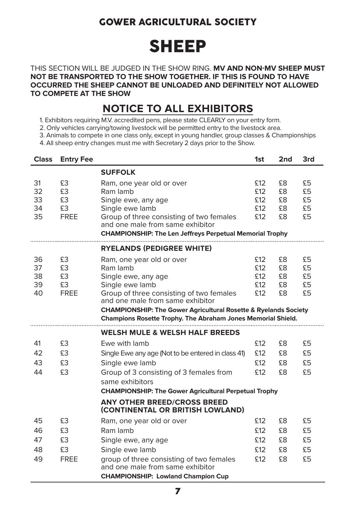# SHEEP

THIS SECTION WILL BE JUDGED IN THE SHOW RING. **MV AND NON-MV SHEEP MUST NOT BE TRANSPORTED TO THE SHOW TOGETHER. IF THIS IS FOUND TO HAVE OCCURRED THE SHEEP CANNOT BE UNLOADED AND DEFINITELY NOT ALLOWED TO COMPETE AT THE SHOW**

#### **NOTICE TO ALL EXHIBITORS**

- 1. Exhibitors requiring M.V. accredited pens, please state CLEARLY on your entry form.
- 2. Only vehicles carrying/towing livestock will be permitted entry to the livestock area.
- 3. Animals to compete in one class only, except in young handler, group classes & Championships
- 4. All sheep entry changes must me with Secretary 2 days prior to the Show.

| <b>Class</b>               | <b>Entry Fee</b>                    |                                                                                                                                                                                                                                                                                                               | 1st                             | 2 <sub>nd</sub>            | 3rd                        |
|----------------------------|-------------------------------------|---------------------------------------------------------------------------------------------------------------------------------------------------------------------------------------------------------------------------------------------------------------------------------------------------------------|---------------------------------|----------------------------|----------------------------|
|                            |                                     | <b>SUFFOLK</b>                                                                                                                                                                                                                                                                                                |                                 |                            |                            |
| 31<br>32<br>33<br>34<br>35 | £З<br>£3<br>£3<br>£3<br><b>FREE</b> | Ram, one year old or over<br>Ram lamb<br>Single ewe, any age<br>Single ewe lamb<br>Group of three consisting of two females<br>and one male from same exhibitor<br><b>CHAMPIONSHIP: The Len Jeffreys Perpetual Memorial Trophy</b>                                                                            | £12<br>£12<br>£12<br>£12<br>£12 | £8<br>£8<br>£8<br>£8<br>£8 | £5<br>£5<br>£5<br>£5<br>£5 |
|                            |                                     | <b>RYELANDS (PEDIGREE WHITE)</b>                                                                                                                                                                                                                                                                              |                                 |                            |                            |
| 36<br>37<br>38<br>39<br>40 | £З<br>£3<br>£3<br>£З<br><b>FREE</b> | Ram, one year old or over<br>Ram lamb<br>Single ewe, any age<br>Single ewe lamb<br>Group of three consisting of two females<br>and one male from same exhibitor<br><b>CHAMPIONSHIP: The Gower Agricultural Rosette &amp; Ryelands Society</b><br>Champions Rosette Trophy. The Abraham Jones Memorial Shield. | £12<br>£12<br>£12<br>£12<br>£12 | £8<br>£8<br>£8<br>£8<br>£8 | £5<br>£5<br>£5<br>£5<br>£5 |
|                            |                                     | <b>WELSH MULE &amp; WELSH HALF BREEDS</b>                                                                                                                                                                                                                                                                     |                                 |                            |                            |
| 41<br>42<br>43<br>44       | £3<br>£3<br>£З<br>£3                | Ewe with lamb<br>Single Ewe any age (Not to be entered in class 41)<br>Single ewe lamb<br>Group of 3 consisting of 3 females from<br>same exhibitors                                                                                                                                                          | £12<br>£12<br>£12<br>£12        | £8<br>£8<br>£8<br>£8       | £5<br>£5<br>£5<br>£5       |
|                            |                                     | <b>CHAMPIONSHIP: The Gower Agricultural Perpetual Trophy</b><br><b>ANY OTHER BREED/CROSS BREED</b><br>(CONTINENTAL OR BRITISH LOWLAND)                                                                                                                                                                        |                                 |                            |                            |
| 45<br>46<br>47<br>48<br>49 | £3<br>£З<br>£З<br>£3<br><b>FREE</b> | Ram, one year old or over<br>Ram lamb<br>Single ewe, any age<br>Single ewe lamb<br>group of three consisting of two females<br>and one male from same exhibitor<br><b>CHAMPIONSHIP: Lowland Champion Cup</b>                                                                                                  | £12<br>£12<br>£12<br>£12<br>£12 | £8<br>£8<br>£8<br>£8<br>£8 | £5<br>£5<br>£5<br>£5<br>£5 |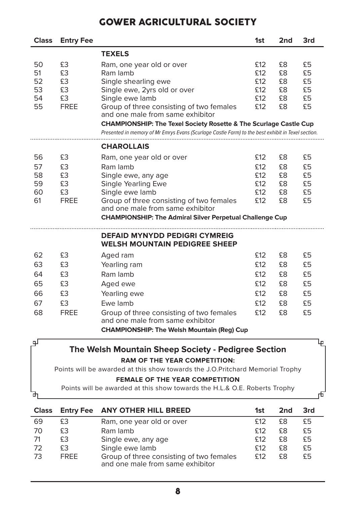| <b>Class</b>                     | <b>Entry Fee</b>                          |                                                                                                                                                                                                                                                                                                                                                                                        | 1st                                    | 2nd                              | 3rd                              |
|----------------------------------|-------------------------------------------|----------------------------------------------------------------------------------------------------------------------------------------------------------------------------------------------------------------------------------------------------------------------------------------------------------------------------------------------------------------------------------------|----------------------------------------|----------------------------------|----------------------------------|
|                                  |                                           | <b>TEXELS</b>                                                                                                                                                                                                                                                                                                                                                                          |                                        |                                  |                                  |
| 50<br>51<br>52<br>53<br>54<br>55 | £3<br>£3<br>£З<br>£З<br>£З<br><b>FREE</b> | Ram, one year old or over<br>Ram lamb<br>Single shearling ewe<br>Single ewe, 2yrs old or over<br>Single ewe lamb<br>Group of three consisting of two females<br>and one male from same exhibitor<br><b>CHAMPIONSHIP: The Texel Society Rosette &amp; The Scurlage Castle Cup</b><br>Presented in memory of Mr Emrys Evans (Scurlage Castle Farm) to the best exhibit in Texel section. | £12<br>£12<br>£12<br>£12<br>£12<br>£12 | £8<br>£8<br>£8<br>£8<br>£8<br>£8 | £5<br>£5<br>£5<br>£5<br>£5<br>£5 |
|                                  |                                           | <b>CHAROLLAIS</b>                                                                                                                                                                                                                                                                                                                                                                      |                                        |                                  |                                  |
| 56                               | £З                                        | Ram, one year old or over                                                                                                                                                                                                                                                                                                                                                              | £12                                    | £8                               | £5                               |
| 57                               | £З                                        | Ram lamb                                                                                                                                                                                                                                                                                                                                                                               | £12                                    | £8                               | £5                               |
| 58                               | £3                                        | Single ewe, any age                                                                                                                                                                                                                                                                                                                                                                    | £12                                    | £8                               | £5                               |
| 59                               | £З                                        | Single Yearling Ewe                                                                                                                                                                                                                                                                                                                                                                    | £12                                    | £8                               | £5                               |
| 60                               | £З                                        | Single ewe lamb                                                                                                                                                                                                                                                                                                                                                                        | £12                                    | £8                               | £5                               |
| 61                               | <b>FREE</b>                               | Group of three consisting of two females<br>and one male from same exhibitor                                                                                                                                                                                                                                                                                                           | £12                                    | £8                               | £5                               |
|                                  |                                           | <b>CHAMPIONSHIP: The Admiral Silver Perpetual Challenge Cup</b>                                                                                                                                                                                                                                                                                                                        |                                        |                                  |                                  |
|                                  |                                           | <b>DEFAID MYNYDD PEDIGRI CYMREIG</b><br><b>WELSH MOUNTAIN PEDIGREE SHEEP</b>                                                                                                                                                                                                                                                                                                           |                                        |                                  |                                  |
| 62                               | £З                                        | Aged ram                                                                                                                                                                                                                                                                                                                                                                               | £12                                    | £8                               | £5                               |
| 63                               | £3                                        | Yearling ram                                                                                                                                                                                                                                                                                                                                                                           | £12                                    | £8                               | £5                               |
| 64                               | £З                                        | Ram lamb                                                                                                                                                                                                                                                                                                                                                                               | £12                                    | £8                               | £5                               |
| 65                               | £3                                        | Aged ewe                                                                                                                                                                                                                                                                                                                                                                               | £12                                    | £8                               | £5                               |
| 66                               | £З                                        | Yearling ewe                                                                                                                                                                                                                                                                                                                                                                           | £12                                    | £8                               | £5                               |
| 67                               | £3                                        | Ewe lamb                                                                                                                                                                                                                                                                                                                                                                               | £12                                    | £8                               | £5                               |
| 68                               | <b>FREE</b>                               | Group of three consisting of two females<br>and one male from same exhibitor                                                                                                                                                                                                                                                                                                           | £12                                    | £8                               | £5                               |
|                                  |                                           | <b>CHAMPIONSHIP: The Welsh Mountain (Reg) Cup</b>                                                                                                                                                                                                                                                                                                                                      |                                        |                                  |                                  |
| டி                               |                                           |                                                                                                                                                                                                                                                                                                                                                                                        |                                        |                                  | 4                                |

#### **The Welsh Mountain Sheep Society - Pedigree Section**

#### **RAM OF THE YEAR COMPETITION:**

Points will be awarded at this show towards the J.O.Pritchard Memorial Trophy

#### **FEMALE OF THE YEAR COMPETITION**

Points will be awarded at this show towards the H.L.& O.E. Roberts Trophy

| <b>Class</b> |             | Entry Fee ANY OTHER HILL BREED                                               | 1st  | 2nd | 3rd |
|--------------|-------------|------------------------------------------------------------------------------|------|-----|-----|
| 69           | £З          | Ram, one year old or over                                                    | \$12 | £8  | £5  |
| 70           | £З          | Ram lamb                                                                     | \$12 | £8  | £5  |
| -71          | £З          | Single ewe, any age                                                          | \$12 | £8  | £5  |
| 72           | £З          | Single ewe lamb                                                              | \$12 | £8  | £5  |
| -73          | <b>FRFF</b> | Group of three consisting of two females<br>and one male from same exhibitor | \$12 | £8  | £5  |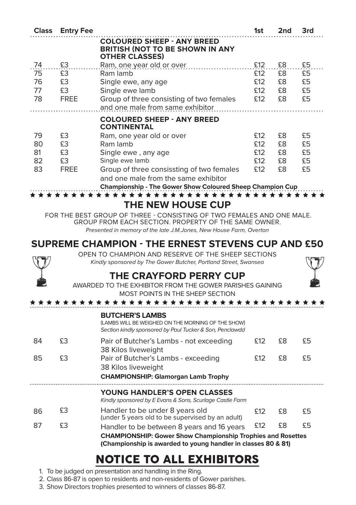| <b>Class</b> | <b>Entry Fee</b> |                                                                                                          | 1st | 2nd | 3rd |
|--------------|------------------|----------------------------------------------------------------------------------------------------------|-----|-----|-----|
|              |                  | <b>COLOURED SHEEP - ANY BREED</b><br><b>BRITISH (NOT TO BE SHOWN IN ANY</b><br><b>OTHER CLASSES)</b>     |     |     |     |
| 74           | £3               | Ram, one year old or over                                                                                | £12 | £8  | £5  |
| 75           | £З               | Ram lamb                                                                                                 | £12 | £8  | £5  |
| 76           | £З               | Single ewe, any age                                                                                      | £12 | £8  | £5  |
| 77           | £З               | Single ewe lamb                                                                                          | £12 | £8  | £5  |
| 78           | FREE             | Group of three consisting of two females<br>and one male from same exhibitor                             | £12 | £8  | £5  |
|              |                  | <b>COLOURED SHEEP - ANY BREED</b><br><b>CONTINENTAL</b>                                                  |     |     |     |
| 79           | £З               | Ram, one year old or over                                                                                | £12 | £8  | £5  |
| 80           | £З               | Ram lamb                                                                                                 | £12 | £8  | £5  |
| 81           | £З               | Single ewe, any age                                                                                      | £12 | £8  | £5  |
| 82           | £З               | Single ewe lamb                                                                                          | £12 | £8  | £5  |
| 83           | FREE             | Group of three consissting of two females                                                                | £12 | £8  | £5  |
|              |                  | and one male from the same exhibitor<br><b>Championship - The Gower Show Coloured Sheep Champion Cup</b> |     |     |     |

**THE NEW HOUSE CUP** 

FOR THE BEST GROUP OF THREE - CONSISTING OF TWO FEMALES AND ONE MALE. GROUP FROM EACH SECTION. PROPERTY OF THE SAME OWNER. *Presented in memory of the late J.M.Jones, New House Farm, Overton*

#### **SUPREME CHAMPION - THE ERNEST STEVENS CUP AND £50**

OPEN TO CHAMPION AND RESERVE OF THE SHEEP SECTIONS *Kindly sponsored by The Gower Butcher, Portland Street, Swansea*

#### **THE CRAYFORD PERRY CUP**



AWARDED TO THE EXHIBITOR FROM THE GOWER PARISHES GAINING

|    |    | MOST POINTS IN THE SHEEP SECTION<br>* * * * * * * * * * * *<br>******                                                                                                             |     |    |    |
|----|----|-----------------------------------------------------------------------------------------------------------------------------------------------------------------------------------|-----|----|----|
|    |    | <b>BUTCHER'S LAMBS</b><br>(LAMBS WILL BE WEIGHED ON THE MORNING OF THE SHOW)<br>Section kindly sponsored by Paul Tucker & Son, Penclawdd                                          |     |    |    |
| 84 | £З | Pair of Butcher's Lambs - not exceeding<br>38 Kilos liveweight                                                                                                                    | £12 | £8 | £5 |
| 85 | £З | Pair of Butcher's Lambs - exceeding<br>38 Kilos liveweight<br><b>CHAMPIONSHIP: Glamorgan Lamb Trophy</b>                                                                          | £12 | £8 | £5 |
|    |    | <b>YOUNG HANDLER'S OPEN CLASSES</b><br>Kindly sponsored by E Evans & Sons, Scurlage Castle Farm                                                                                   |     |    |    |
| 86 | £З | Handler to be under 8 years old<br>(under 5 years old to be supervised by an adult)                                                                                               | £12 | £8 | £5 |
| 87 | £З | Handler to be between 8 years and 16 years<br><b>CHAMPIONSHIP: Gower Show Championship Trophies and Rosettes</b><br>(Championship is awarded to young handler in classes 80 & 81) | £12 | £8 | £5 |

### NOTICE TO ALL EXHIBITORS

- 1. To be judged on presentation and handling in the Ring.
- 2. Class 86-87 is open to residents and non-residents of Gower parishes.
- 3. Show Directors trophies presented to winners of classes 86-87.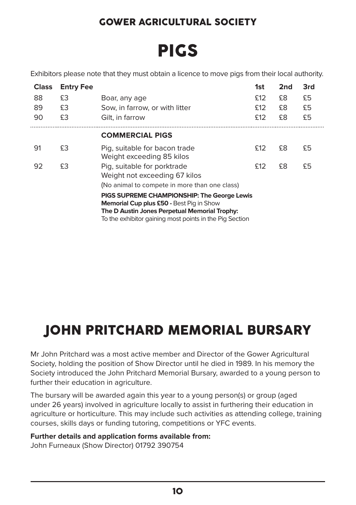# PIGS

Exhibitors please note that they must obtain a licence to move pigs from their local authority.

| <b>Class</b><br>88<br>89<br>90 | <b>Entry Fee</b><br>£З<br>£3<br>£3 | Boar, any age<br>Sow, in farrow, or with litter<br>Gilt, in farrow                                                                                                                                         | 1st<br>£12<br>£12<br>£12 | 2 <sub>nd</sub><br>£8<br>£8<br>£8 | 3rd<br>£5<br>£5<br>£5 |
|--------------------------------|------------------------------------|------------------------------------------------------------------------------------------------------------------------------------------------------------------------------------------------------------|--------------------------|-----------------------------------|-----------------------|
|                                |                                    | <b>COMMERCIAL PIGS</b>                                                                                                                                                                                     |                          |                                   |                       |
| 91                             | £3                                 | Pig, suitable for bacon trade<br>Weight exceeding 85 kilos                                                                                                                                                 | £12                      | £8                                | £5                    |
| 92                             | £3                                 | Pig, suitable for porktrade<br>Weight not exceeding 67 kilos<br>(No animal to compete in more than one class)                                                                                              | £12                      | £8                                | £5                    |
|                                |                                    | PIGS SUPREME CHAMPIONSHIP: The George Lewis<br><b>Memorial Cup plus £50 - Best Pig in Show</b><br>The D Austin Jones Perpetual Memorial Trophy:<br>To the exhibitor gaining most points in the Pig Section |                          |                                   |                       |

### JOHN PRITCHARD MEMORIAL BURSARY

Mr John Pritchard was a most active member and Director of the Gower Agricultural Society, holding the position of Show Director until he died in 1989. In his memory the Society introduced the John Pritchard Memorial Bursary, awarded to a young person to further their education in agriculture.

The bursary will be awarded again this year to a young person(s) or group (aged under 26 years) involved in agriculture locally to assist in furthering their education in agriculture or horticulture. This may include such activities as attending college, training courses, skills days or funding tutoring, competitions or YFC events.

**Further details and application forms available from:** 

John Furneaux (Show Director) 01792 390754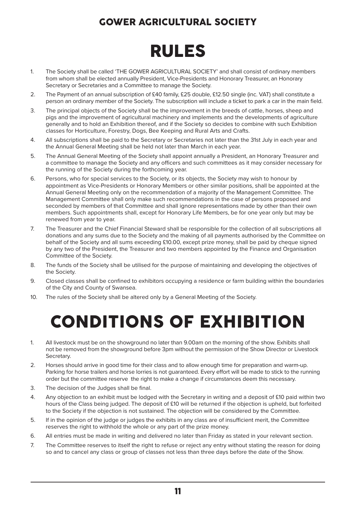# RULES

- 1. The Society shall be called 'THE GOWER AGRICULTURAL SOCIETY' and shall consist of ordinary members from whom shall be elected annually President, Vice-Presidents and Honorary Treasurer, an Honorary Secretary or Secretaries and a Committee to manage the Society.
- 2. The Payment of an annual subscription of £40 family, £25 double, £12.50 single (inc. VAT) shall constitute a person an ordinary member of the Society. The subscription will include a ticket to park a car in the main field.
- 3. The principal objects of the Society shall be the improvement in the breeds of cattle, horses, sheep and pigs and the improvement of agricultural machinery and implements and the developments of agriculture generally and to hold an Exhibition thereof, and if the Society so decides to combine with such Exhibition classes for Horticulture, Forestry, Dogs, Bee Keeping and Rural Arts and Crafts.
- 4. All subscriptions shall be paid to the Secretary or Secretaries not later than the 31st July in each year and the Annual General Meeting shall be held not later than March in each year.
- 5. The Annual General Meeting of the Society shall appoint annually a President, an Honorary Treasurer and a committee to manage the Society and any officers and such committees as it may consider necessary for the running of the Society during the forthcoming year.
- 6. Persons, who for special services to the Society, or its objects, the Society may wish to honour by appointment as Vice-Presidents or Honorary Members or other similar positions, shall be appointed at the Annual General Meeting only on the recommendation of a majority of the Management Committee. The Management Committee shall only make such recommendations in the case of persons proposed and seconded by members of that Committee and shall ignore representations made by other than their own members. Such appointments shall, except for Honorary Life Members, be for one year only but may be renewed from year to year.
- 7. The Treasurer and the Chief Financial Steward shall be responsible for the collection of all subscriptions all donations and any sums due to the Society and the making of all payments authorised by the Committee on behalf of the Society and all sums exceeding £10.00, except prize money, shall be paid by cheque signed by any two of the President, the Treasurer and two members appointed by the Finance and Organisation Committee of the Society.
- 8. The funds of the Society shall be utilised for the purpose of maintaining and developing the objectives of the Society.
- 9. Closed classes shall be confined to exhibitors occupying a residence or farm building within the boundaries of the City and County of Swansea.
- 10. The rules of the Society shall be altered only by a General Meeting of the Society.

# CONDITIONS OF EXHIBITION

- 1. All livestock must be on the showground no later than 9.00am on the morning of the show. Exhibits shall not be removed from the showground before 3pm without the permission of the Show Director or Livestock Secretary.
- 2. Horses should arrive in good time for their class and to allow enough time for preparation and warm-up. Parking for horse trailers and horse lorries is not guaranteed. Every effort will be made to stick to the running order but the committee reserve the right to make a change if circumstances deem this necessary.
- 3. The decision of the Judges shall be final.
- 4. Any objection to an exhibit must be lodged with the Secretary in writing and a deposit of £10 paid within two hours of the Class being judged. The deposit of £10 will be returned if the objection is upheld, but forfeited to the Society if the objection is not sustained. The objection will be considered by the Committee.
- 5. If in the opinion of the judge or judges the exhibits in any class are of insufficient merit, the Committee reserves the right to withhold the whole or any part of the prize money.
- 6. All entries must be made in writing and delivered no later than Friday as stated in your relevant section.
- 7. The Committee reserves to itself the right to refuse or reject any entry without stating the reason for doing so and to cancel any class or group of classes not less than three days before the date of the Show.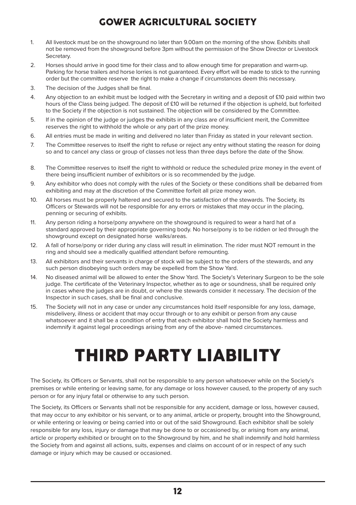- 1. All livestock must be on the showground no later than 9.00am on the morning of the show. Exhibits shall not be removed from the showground before 3pm without the permission of the Show Director or Livestock Secretary.
- 2. Horses should arrive in good time for their class and to allow enough time for preparation and warm-up. Parking for horse trailers and horse lorries is not guaranteed. Every effort will be made to stick to the running order but the committee reserve the right to make a change if circumstances deem this necessary.
- 3. The decision of the Judges shall be final.
- 4. Any objection to an exhibit must be lodged with the Secretary in writing and a deposit of £10 paid within two hours of the Class being judged. The deposit of £10 will be returned if the objection is upheld, but forfeited to the Society if the objection is not sustained. The objection will be considered by the Committee.
- 5. If in the opinion of the judge or judges the exhibits in any class are of insufficient merit, the Committee reserves the right to withhold the whole or any part of the prize money.
- 6. All entries must be made in writing and delivered no later than Friday as stated in your relevant section.
- 7. The Committee reserves to itself the right to refuse or reject any entry without stating the reason for doing so and to cancel any class or group of classes not less than three days before the date of the Show.
- 8. The Committee reserves to itself the right to withhold or reduce the scheduled prize money in the event of there being insufficient number of exhibitors or is so recommended by the judge.
- 9. Any exhibitor who does not comply with the rules of the Society or these conditions shall be debarred from exhibiting and may at the discretion of the Committee forfeit all prize money won.
- 10. All horses must be properly haltered and secured to the satisfaction of the stewards. The Society, its Officers or Stewards will not be responsible for any errors or mistakes that may occur in the placing, penning or securing of exhibits.
- 11. Any person riding a horse/pony anywhere on the showground is required to wear a hard hat of a standard approved by their appropriate governing body. No horse/pony is to be ridden or led through the showground except on designated horse walks/areas.
- 12. A fall of horse/pony or rider during any class will result in elimination. The rider must NOT remount in the ring and should see a medically qualified attendant before remounting.
- 13. All exhibitors and their servants in charge of stock will be subject to the orders of the stewards, and any such person disobeying such orders may be expelled from the Show Yard.
- 14. No diseased animal will be allowed to enter the Show Yard. The Society's Veterinary Surgeon to be the sole judge. The certificate of the Veterinary Inspector, whether as to age or soundness, shall be required only in cases where the judges are in doubt, or where the stewards consider it necessary. The decision of the Inspector in such cases, shall be final and conclusive.
- 15. The Society will not in any case or under any circumstances hold itself responsible for any loss, damage, misdelivery, illness or accident that may occur through or to any exhibit or person from any cause whatsoever and it shall be a condition of entry that each exhibitor shall hold the Society harmless and indemnify it against legal proceedings arising from any of the above- named circumstances.

# THIRD PARTY LIABILITY

The Society, its Officers or Servants, shall not be responsible to any person whatsoever while on the Society's premises or while entering or leaving same, for any damage or loss however caused, to the property of any such person or for any injury fatal or otherwise to any such person.

The Society, its Officers or Servants shall not be responsible for any accident, damage or loss, however caused, that may occur to any exhibitor or his servant, or to any animal, article or property, brought into the Showground, or while entering or leaving or being carried into or out of the said Showground. Each exhibitor shall be solely responsible for any loss, injury or damage that may be done to or occasioned by, or arising from any animal, article or property exhibited or brought on to the Showground by him, and he shall indemnify and hold harmless the Society from and against all actions, suits, expenses and claims on account of or in respect of any such damage or injury which may be caused or occasioned.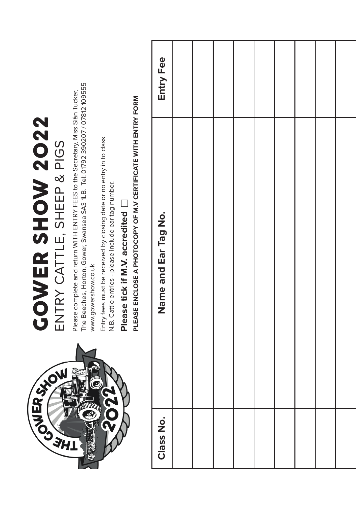| SULFASKOV | <b>COWER SHOW 2022</b><br>ENTRY CATTLE, SHEEP & PIGS                                                                                                                                   |           |
|-----------|----------------------------------------------------------------------------------------------------------------------------------------------------------------------------------------|-----------|
|           |                                                                                                                                                                                        |           |
|           | The Beeches, Horton, Gower, Swansea SA3 1LB. Tel: 01792 390207 / 07812 109555<br>Please complete and return WITH ENTRY FEES to the Secretary, Miss Siân Tucker,<br>www.gowershow.co.uk |           |
|           | Entry fees must be received by closing date or no entry in to class.<br>N.B. Cattle entries - please include ear tag number.                                                           |           |
|           | Please tick if M.V. accredited                                                                                                                                                         |           |
|           | PLEASE ENCLOSE A PHOTOCOPY OF M.V CERTIFICATE WITH ENTRY FORM                                                                                                                          |           |
| Class No. | Name and Ear Tag No.                                                                                                                                                                   | Entry Fee |
|           |                                                                                                                                                                                        |           |
|           |                                                                                                                                                                                        |           |
|           |                                                                                                                                                                                        |           |
|           |                                                                                                                                                                                        |           |
|           |                                                                                                                                                                                        |           |
|           |                                                                                                                                                                                        |           |
|           |                                                                                                                                                                                        |           |
|           |                                                                                                                                                                                        |           |
|           |                                                                                                                                                                                        |           |